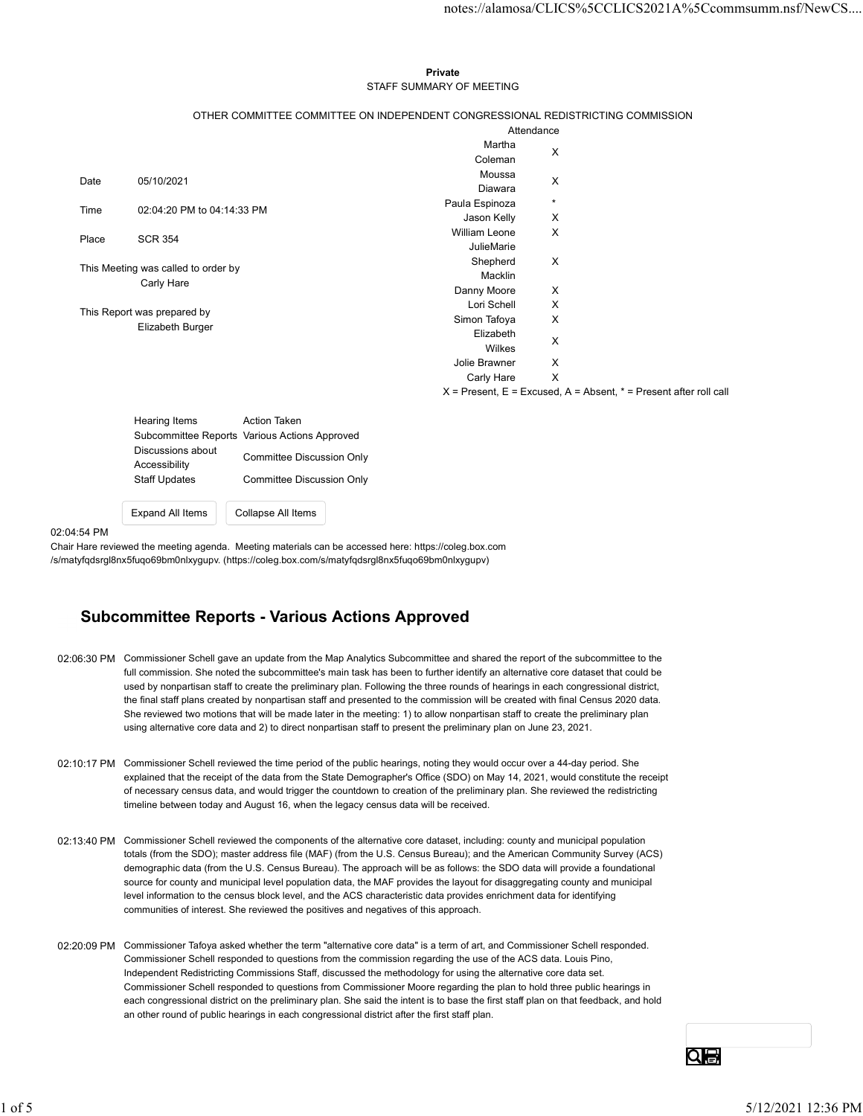### Private **Private** and *Private* and *Private* and *Private* and *Private* and *Private* and *Private* and *Private* and *Private* and *Private* and *Private* and *Private* and *Private* and *Private* and *Private* and *Pri* STAFF SUMMARY OF MEETING

|                                        | Coleman                                                                                                                                                                                                                                                                                            | X                                                                                                                                                                   |                                                                                                                                                                                                                                                                           |
|----------------------------------------|----------------------------------------------------------------------------------------------------------------------------------------------------------------------------------------------------------------------------------------------------------------------------------------------------|---------------------------------------------------------------------------------------------------------------------------------------------------------------------|---------------------------------------------------------------------------------------------------------------------------------------------------------------------------------------------------------------------------------------------------------------------------|
|                                        | Moussa                                                                                                                                                                                                                                                                                             |                                                                                                                                                                     |                                                                                                                                                                                                                                                                           |
|                                        | Diawara                                                                                                                                                                                                                                                                                            |                                                                                                                                                                     |                                                                                                                                                                                                                                                                           |
| 02:04:20 PM to 04:14:33 PM             |                                                                                                                                                                                                                                                                                                    |                                                                                                                                                                     |                                                                                                                                                                                                                                                                           |
|                                        |                                                                                                                                                                                                                                                                                                    |                                                                                                                                                                     |                                                                                                                                                                                                                                                                           |
|                                        |                                                                                                                                                                                                                                                                                                    |                                                                                                                                                                     |                                                                                                                                                                                                                                                                           |
|                                        | Shepherd                                                                                                                                                                                                                                                                                           | X                                                                                                                                                                   |                                                                                                                                                                                                                                                                           |
|                                        | Macklin                                                                                                                                                                                                                                                                                            |                                                                                                                                                                     |                                                                                                                                                                                                                                                                           |
|                                        | Danny Moore                                                                                                                                                                                                                                                                                        | X                                                                                                                                                                   |                                                                                                                                                                                                                                                                           |
|                                        |                                                                                                                                                                                                                                                                                                    |                                                                                                                                                                     |                                                                                                                                                                                                                                                                           |
| Elizabeth Burger                       |                                                                                                                                                                                                                                                                                                    |                                                                                                                                                                     |                                                                                                                                                                                                                                                                           |
|                                        |                                                                                                                                                                                                                                                                                                    | X                                                                                                                                                                   |                                                                                                                                                                                                                                                                           |
|                                        | Jolie Brawner                                                                                                                                                                                                                                                                                      | X                                                                                                                                                                   |                                                                                                                                                                                                                                                                           |
|                                        | Carly Hare                                                                                                                                                                                                                                                                                         | $\boldsymbol{\mathsf{X}}$                                                                                                                                           |                                                                                                                                                                                                                                                                           |
|                                        |                                                                                                                                                                                                                                                                                                    |                                                                                                                                                                     |                                                                                                                                                                                                                                                                           |
|                                        |                                                                                                                                                                                                                                                                                                    |                                                                                                                                                                     |                                                                                                                                                                                                                                                                           |
|                                        |                                                                                                                                                                                                                                                                                                    |                                                                                                                                                                     |                                                                                                                                                                                                                                                                           |
| Discussions about                      |                                                                                                                                                                                                                                                                                                    |                                                                                                                                                                     |                                                                                                                                                                                                                                                                           |
| Accessibility                          |                                                                                                                                                                                                                                                                                                    |                                                                                                                                                                     |                                                                                                                                                                                                                                                                           |
|                                        |                                                                                                                                                                                                                                                                                                    |                                                                                                                                                                     |                                                                                                                                                                                                                                                                           |
| Expand All Items<br>Collapse All Items |                                                                                                                                                                                                                                                                                                    |                                                                                                                                                                     |                                                                                                                                                                                                                                                                           |
|                                        | r Hare reviewed the meeting agenda. Meeting materials can be accessed here: https://coleg.box.com                                                                                                                                                                                                  |                                                                                                                                                                     |                                                                                                                                                                                                                                                                           |
|                                        | 05/10/2021<br><b>SCR 354</b><br>This Meeting was called to order by<br>Carly Hare<br>This Report was prepared by<br>Action Taken<br>Hearing Items<br>Subcommittee Reports Various Actions Approved<br><b>Committee Discussion Only</b><br><b>Staff Updates</b><br><b>Committee Discussion Only</b> | Private<br>STAFF SUMMARY OF MEETING<br>Martha<br>Paula Espinoza<br>Jason Kelly<br>William Leone<br>JulieMarie<br>Lori Schell<br>Simon Tafoya<br>Elizabeth<br>Wilkes | notes://alamosa/CLICS%5CCLICS2021A%5Ccommsumm.nsf/NewCS<br>OTHER COMMITTEE COMMITTEE ON INDEPENDENT CONGRESSIONAL REDISTRICTING COMMISSION<br>Attendance<br>X<br>$\star$<br>X<br>X<br>X<br>X<br>$X =$ Present, $E =$ Excused, $A =$ Absent, $* =$ Present after roll call |

02:04:54 PM

# Subcommittee Reports - Various Actions Approved

- 02:06:30 PM Commissioner Schell gave an update from the Map Analytics Subcommittee and shared the report of the subcommittee to the full commission. She noted the subcommittee's main task has been to further identify an alternative core dataset that could be used by nonpartisan staff to create the preliminary plan. Following the three rounds of hearings in each congressional district, the final staff plans created by nonpartisan staff and presented to the commission will be created with final Census 2020 data. She reviewed two motions that will be made later in the meeting: 1) to allow nonpartisan staff to create the preliminary plan using alternative core data and 2) to direct nonpartisan staff to present the preliminary plan on June 23, 2021.
- 02:10:17 PM Commissioner Schell reviewed the time period of the public hearings, noting they would occur over a 44-day period. She explained that the receipt of the data from the State Demographer's Office (SDO) on May 14, 2021, would constitute the receipt of necessary census data, and would trigger the countdown to creation of the preliminary plan. She reviewed the redistricting timeline between today and August 16, when the legacy census data will be received.
- 02:13:40 PM Commissioner Schell reviewed the components of the alternative core dataset, including: county and municipal population totals (from the SDO); master address file (MAF) (from the U.S. Census Bureau); and the American Community Survey (ACS) demographic data (from the U.S. Census Bureau). The approach will be as follows: the SDO data will provide a foundational source for county and municipal level population data, the MAF provides the layout for disaggregating county and municipal level information to the census block level, and the ACS characteristic data provides enrichment data for identifying communities of interest. She reviewed the positives and negatives of this approach.
- 02:20:09 PM Commissioner Tafoya asked whether the term "alternative core data" is a term of art, and Commissioner Schell responded. Commissioner Schell responded to questions from the commission regarding the use of the ACS data. Louis Pino, Independent Redistricting Commissions Staff, discussed the methodology for using the alternative core data set. Commissioner Schell responded to questions from Commissioner Moore regarding the plan to hold three public hearings in each congressional district on the preliminary plan. She said the intent is to base the first staff plan on that feedback, and hold an other round of public hearings in each congressional district after the first staff plan. 02.10.17 PM Commissioner Schol reviewed the time period of the public hearings, noting they would occur over a 44-day period. She<br>equivalent that the needely of the data from the State Benedigate-is Office (SDO) on May 14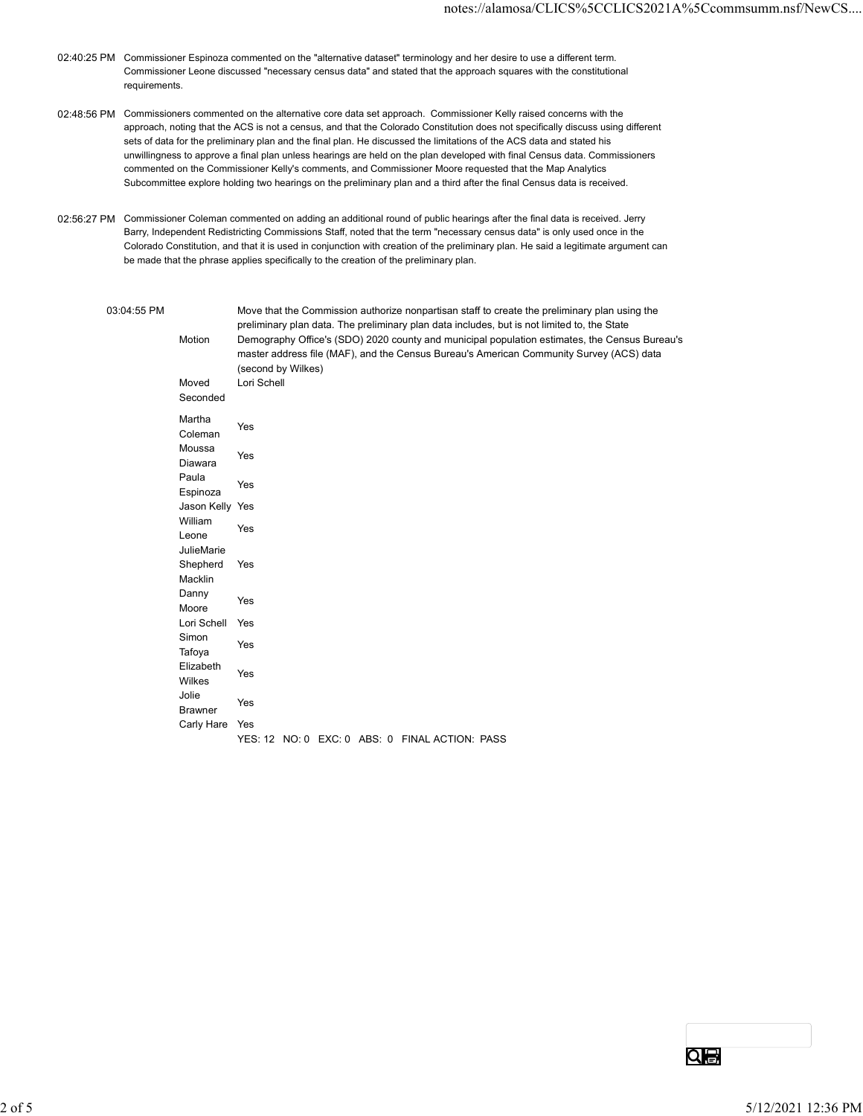- 02:40:25 PM Commissioner Espinoza commented on the "alternative dataset" terminology and her desire to use a different term. Commissioner Leone discussed "necessary census data" and stated that the approach squares with the constitutional requirements.
- 02:48:56 PM Commissioners commented on the alternative core data set approach. Commissioner Kelly raised concerns with the approach, noting that the ACS is not a census, and that the Colorado Constitution does not specifically discuss using different sets of data for the preliminary plan and the final plan. He discussed the limitations of the ACS data and stated his unwillingness to approve a final plan unless hearings are held on the plan developed with final Census data. Commissioners commented on the Commissioner Kelly's comments, and Commissioner Moore requested that the Map Analytics Subcommittee explore holding two hearings on the preliminary plan and a third after the final Census data is received.
- 02:56:27 PM Commissioner Coleman commented on adding an additional round of public hearings after the final data is received. Jerry Barry, Independent Redistricting Commissions Staff, noted that the term "necessary census data" is only used once in the Colorado Constitution, and that it is used in conjunction with creation of the preliminary plan. He said a legitimate argument can be made that the phrase applies specifically to the creation of the preliminary plan.

## 03:04:55 PM Move that the Commission authorize nonpartisan staff to create the preliminary plan using the

Motion Demography Office's (SDO) 2020 county and municipal population estimates, the Census Bureau's preliminary plan data. The preliminary plan data includes, but is not limited to, the State master address file (MAF), and the Census Bureau's American Community Survey (ACS) data (second by Wilkes) The Espinoza commented on the "alternative dataset" terminology and her desire to use a different term.<br>
The discussed "necessary census data" and stated that the approach squares with the constitutional<br>
E.<br>
Set commented Seconded Martha<br>Colonia Yes manda Yes<br>Coleman Yes Moussa Yes wodood Yes<br>Diawara Yes Paula <sub>contr</sub>etto de la contra de la contra de la contra de la contra de la contra de la contra de la contra de la contra de la contra de la contra de la contra de la contra de la contra de la contra de la contra de la con ndia and an announcement of the Message of the Sepinoza and the Vestina and the Vestina and the Vestina and the<br>Espinoza or the preliminary plan and the final plan. He discussed the limitations of the ACS data and stated his constructions of the Society of the plan developed with final Census data. Commissioners<br>to approve a final plan unles william with the contract of the contract of the contract of the contract of the contract of the contract of the contract of the contract of the contract of the contract of the contract of the contract of the contract of t which was a very set that the very set of the very set of the very set of the very set of the very set of the v<br>Leone was a very set of the very set of the very set of the very set of the very set of the very set of the ve JulieMarie Shepherd Yes Macklin Yes Danny Yes <u>Danny Yes</u><br>Moore the phrase applies specifically to the creation of the preliminary plan.<br>
Move that the Commission authorize nonpartisan staff to create the preliminary plan using the<br>
preliminary plan data. The preliminary plan data incl Simon and the second state of the second state of the second state of the second state of the second state of the second state of the second state of the second state of the second state of the second state of the second s undan<br>Tafoya Yes Elizabeth<br>
Yes <u>Literature</u><br>Wilkes Yes Jolie ers of the Messachusetts of the Messachusetts of the Messachusetts of the Messachusetts of the Messachusetts o<br>Brawner missel audies in (unitr), and the Carlists bureaus American Community Survey (ACS) data<br>Moved Lori Schell<br>Seconded Lori Schell<br>Seconded<br>Mousas Yes<br>Seconded<br>Mousas Yes<br>Paula<br>Militer Yes<br>Simpled Yes<br>Militer Yes<br>Militer Yes<br>B YES: 12 NO: 0 EXC: 0 ABS: 0 FINAL ACTION: PASS 2 of 5<br>2 of 5<br>2 of 5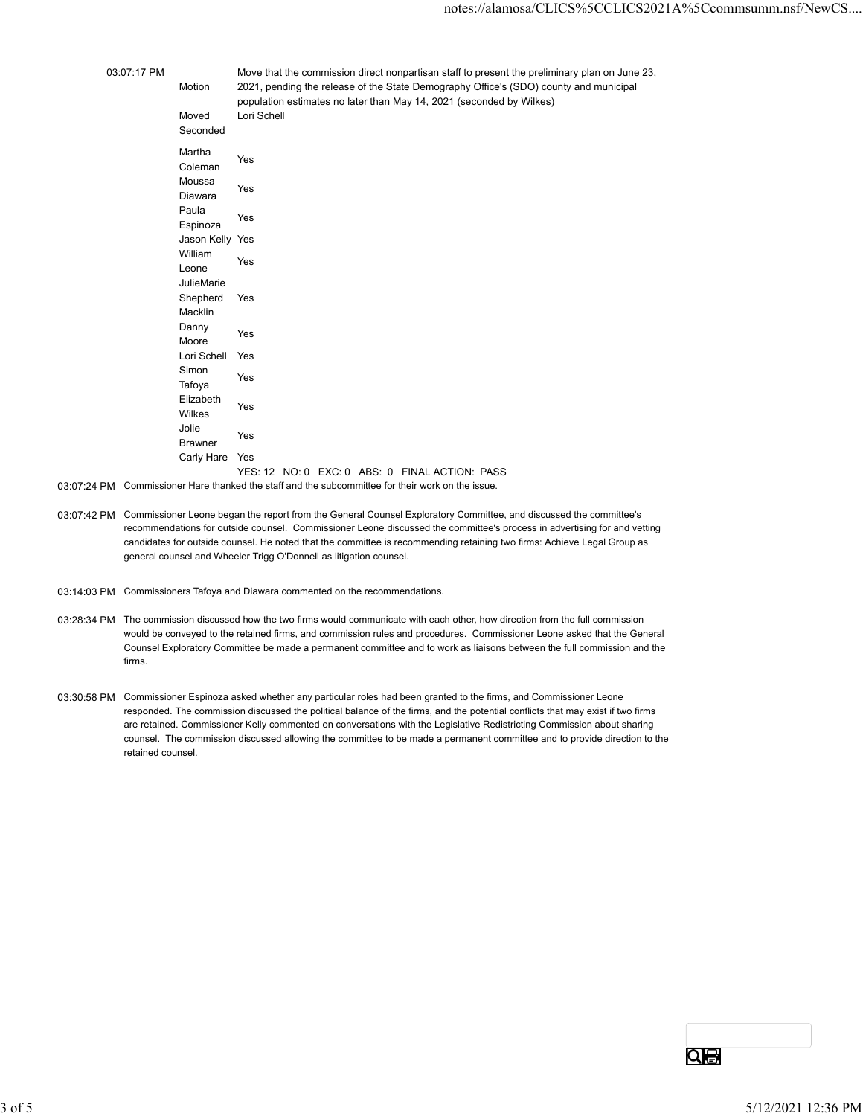|             |                             | notes://alamosa/CLICS%5CCLICS2021A%5Ccommsumm.nsf/l                                                                                                                                    |
|-------------|-----------------------------|----------------------------------------------------------------------------------------------------------------------------------------------------------------------------------------|
|             |                             |                                                                                                                                                                                        |
|             |                             |                                                                                                                                                                                        |
|             |                             |                                                                                                                                                                                        |
| 03:07:17 PM |                             | Move that the commission direct nonpartisan staff to present the preliminary plan on June 23,<br>2021, pending the release of the State Demography Office's (SDO) county and municipal |
|             | Motion                      | population estimates no later than May 14, 2021 (seconded by Wilkes)                                                                                                                   |
|             | Moved                       | Lori Schell                                                                                                                                                                            |
|             | Seconded                    |                                                                                                                                                                                        |
|             | Martha                      |                                                                                                                                                                                        |
|             | Coleman                     | Yes                                                                                                                                                                                    |
|             | Moussa                      | Yes                                                                                                                                                                                    |
|             | Diawara                     |                                                                                                                                                                                        |
|             | Paula                       | Yes                                                                                                                                                                                    |
|             | Espinoza<br>Jason Kelly Yes |                                                                                                                                                                                        |
|             | William                     |                                                                                                                                                                                        |
|             | Leone                       | Yes                                                                                                                                                                                    |
|             | JulieMarie                  |                                                                                                                                                                                        |
|             | Shepherd                    | Yes                                                                                                                                                                                    |
|             | Macklin<br>Danny            |                                                                                                                                                                                        |
|             | Moore                       | Yes                                                                                                                                                                                    |
|             | Lori Schell Yes             |                                                                                                                                                                                        |
|             | Simon                       | Yes                                                                                                                                                                                    |
|             | Tafoya                      |                                                                                                                                                                                        |
|             | Elizabeth<br>Wilkes         | Yes                                                                                                                                                                                    |
|             | Jolie                       |                                                                                                                                                                                        |
|             | <b>Brawner</b>              | Yes                                                                                                                                                                                    |
|             | Carly Hare Yes              |                                                                                                                                                                                        |
|             |                             | YES: 12 NO: 0 EXC: 0 ABS: 0 FINAL ACTION: PASS                                                                                                                                         |
|             |                             | 03:07:24 PM Commissioner Hare thanked the staff and the subcommittee for their work on the issue.                                                                                      |
|             |                             | 03:07:42 PM Commissioner Leone began the report from the General Counsel Exploratory Committee, and discussed the committee's                                                          |
|             |                             | recommendations for outside counsel. Commissioner Leone discussed the committee's process in advertising for and vetting                                                               |
|             |                             | candidates for outside counsel. He noted that the committee is recommending retaining two firms: Achieve Legal Group as                                                                |

- 03:07:42 PM Commissioner Leone began the report from the General Counsel Exploratory Committee, and discussed the committee's recommendations for outside counsel. Commissioner Leone discussed the committee's process in advertising for and vetting candidates for outside counsel. He noted that the committee is recommending retaining two firms: Achieve Legal Group as general counsel and Wheeler Trigg O'Donnell as litigation counsel.
- 03:14:03 PM Commissioners Tafoya and Diawara commented on the recommendations.
- 03:28:34 PM The commission discussed how the two firms would communicate with each other, how direction from the full commission would be conveyed to the retained firms, and commission rules and procedures. Commissioner Leone asked that the General Counsel Exploratory Committee be made a permanent committee and to work as liaisons between the full commission and the firms.
- 03:30:58 PM Commissioner Espinoza asked whether any particular roles had been granted to the firms, and Commissioner Leone responded. The commission discussed the political balance of the firms, and the potential conflicts that may exist if two firms are retained. Commissioner Kelly commented on conversations with the Legislative Redistricting Commission about sharing counsel. The commission discussed allowing the committee to be made a permanent committee and to provide direction to the retained counsel.  $\overline{\text{O}}$  of 5<br>3 of 5<br>3 of 5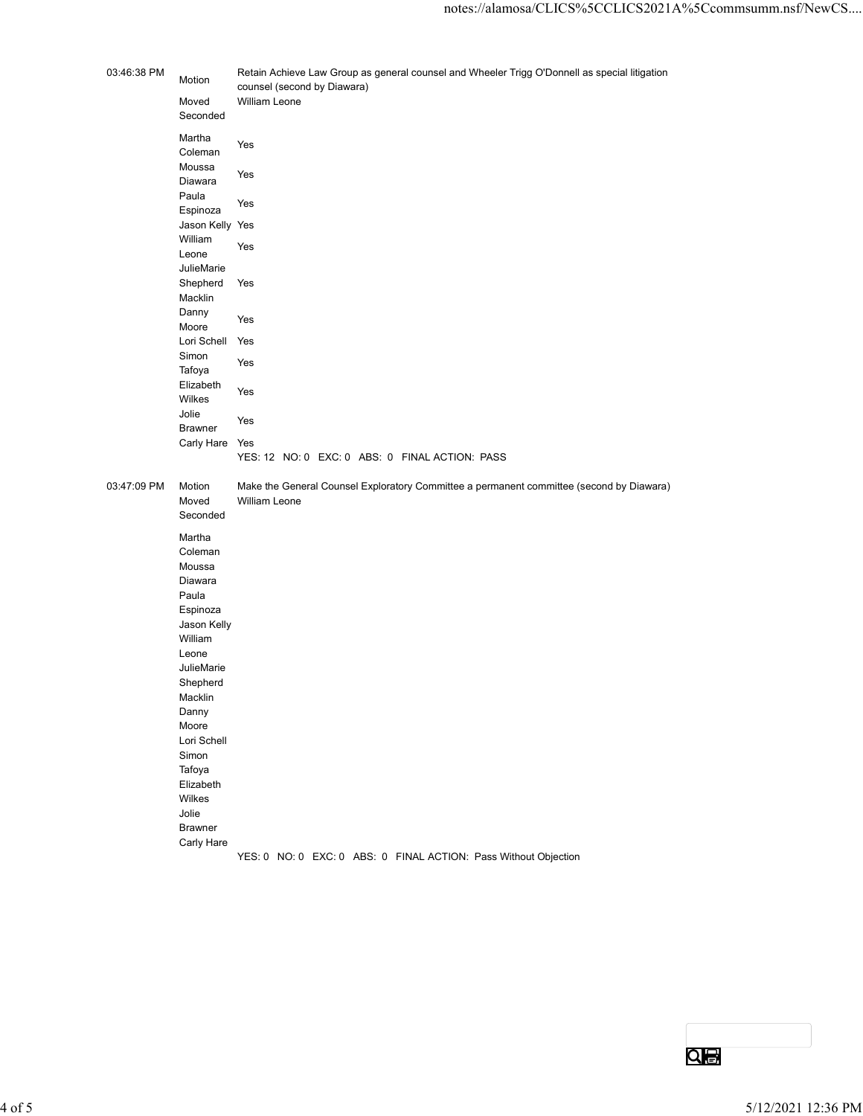| 03:46:38 PM        | Motion<br>Moved            | Retain Achieve Law Group as general counsel and Wheeler Trigg O'Donnell as special litigation<br>counsel (second by Diawara)<br>William Leone |                    |
|--------------------|----------------------------|-----------------------------------------------------------------------------------------------------------------------------------------------|--------------------|
|                    | Seconded<br>Martha         |                                                                                                                                               |                    |
|                    | Coleman<br>Moussa          | Yes                                                                                                                                           |                    |
|                    | Diawara                    | Yes                                                                                                                                           |                    |
|                    | Paula<br>Espinoza          | Yes                                                                                                                                           |                    |
|                    | Jason Kelly Yes<br>William | Yes                                                                                                                                           |                    |
|                    | Leone<br>JulieMarie        |                                                                                                                                               |                    |
|                    | Shepherd Yes<br>Macklin    |                                                                                                                                               |                    |
|                    | Danny                      | Yes                                                                                                                                           |                    |
|                    | Moore<br>Lori Schell Yes   |                                                                                                                                               |                    |
|                    | Simon<br>Tafoya            | Yes                                                                                                                                           |                    |
|                    | Elizabeth<br>Wilkes        | Yes                                                                                                                                           |                    |
|                    | Jolie<br><b>Brawner</b>    | Yes                                                                                                                                           |                    |
|                    | Carly Hare Yes             |                                                                                                                                               |                    |
|                    |                            | YES: 12 NO: 0 EXC: 0 ABS: 0 FINAL ACTION: PASS                                                                                                |                    |
| 03:47:09 PM Motion | Moved                      | Make the General Counsel Exploratory Committee a permanent committee (second by Diawara)<br>William Leone                                     |                    |
|                    | Seconded                   |                                                                                                                                               |                    |
|                    | Martha<br>Coleman          |                                                                                                                                               |                    |
|                    | Moussa<br>Diawara          |                                                                                                                                               |                    |
|                    | Paula<br>Espinoza          |                                                                                                                                               |                    |
|                    | Jason Kelly                |                                                                                                                                               |                    |
|                    | William<br>Leone           |                                                                                                                                               |                    |
|                    | JulieMarie<br>Shepherd     |                                                                                                                                               |                    |
|                    | Macklin                    |                                                                                                                                               |                    |
|                    | Danny<br>Moore             |                                                                                                                                               |                    |
|                    | Lori Schell<br>Simon       |                                                                                                                                               |                    |
|                    | Tafoya<br>Elizabeth        |                                                                                                                                               |                    |
|                    | Wilkes                     |                                                                                                                                               |                    |
|                    | Jolie<br><b>Brawner</b>    |                                                                                                                                               |                    |
|                    | Carly Hare                 | YES: 0 NO: 0 EXC: 0 ABS: 0 FINAL ACTION: Pass Without Objection                                                                               |                    |
|                    |                            |                                                                                                                                               |                    |
|                    |                            |                                                                                                                                               |                    |
|                    |                            |                                                                                                                                               |                    |
|                    |                            |                                                                                                                                               |                    |
|                    |                            |                                                                                                                                               |                    |
|                    |                            |                                                                                                                                               |                    |
|                    |                            |                                                                                                                                               | $Q_{\bigoplus}$    |
|                    |                            |                                                                                                                                               |                    |
|                    |                            |                                                                                                                                               | 5/12/2021 12:36 PM |